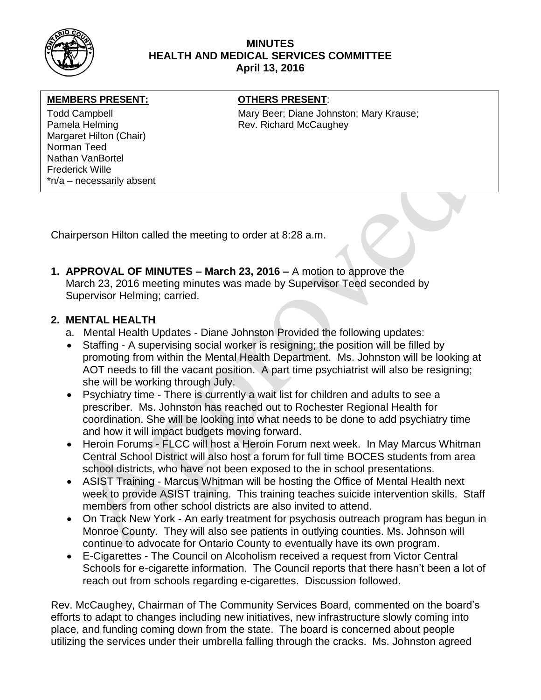

# **MINUTES HEALTH AND MEDICAL SERVICES COMMITTEE April 13, 2016**

#### **MEMBERS PRESENT:**

Margaret Hilton (Chair) Norman Teed Nathan VanBortel Frederick Wille \*n/a – necessarily absent

## **OTHERS PRESENT:**

Todd Campbell Mary Beer; Diane Johnston; Mary Krause; Pamela Helming **Rev. Richard McCaughey** 

Chairperson Hilton called the meeting to order at 8:28 a.m.

**1. APPROVAL OF MINUTES – March 23, 2016 –** A motion to approve the March 23, 2016 meeting minutes was made by Supervisor Teed seconded by Supervisor Helming; carried.

# **2. MENTAL HEALTH**

- a. Mental Health Updates Diane Johnston Provided the following updates:
- Staffing A supervising social worker is resigning; the position will be filled by promoting from within the Mental Health Department. Ms. Johnston will be looking at AOT needs to fill the vacant position. A part time psychiatrist will also be resigning; she will be working through July.
- Psychiatry time There is currently a wait list for children and adults to see a prescriber. Ms. Johnston has reached out to Rochester Regional Health for coordination. She will be looking into what needs to be done to add psychiatry time and how it will impact budgets moving forward.
- Heroin Forums FLCC will host a Heroin Forum next week. In May Marcus Whitman Central School District will also host a forum for full time BOCES students from area school districts, who have not been exposed to the in school presentations.
- ASIST Training Marcus Whitman will be hosting the Office of Mental Health next week to provide ASIST training. This training teaches suicide intervention skills. Staff members from other school districts are also invited to attend.
- On Track New York An early treatment for psychosis outreach program has begun in Monroe County. They will also see patients in outlying counties. Ms. Johnson will continue to advocate for Ontario County to eventually have its own program.
- E-Cigarettes The Council on Alcoholism received a request from Victor Central Schools for e-cigarette information. The Council reports that there hasn't been a lot of reach out from schools regarding e-cigarettes. Discussion followed.

Rev. McCaughey, Chairman of The Community Services Board, commented on the board's efforts to adapt to changes including new initiatives, new infrastructure slowly coming into place, and funding coming down from the state. The board is concerned about people utilizing the services under their umbrella falling through the cracks. Ms. Johnston agreed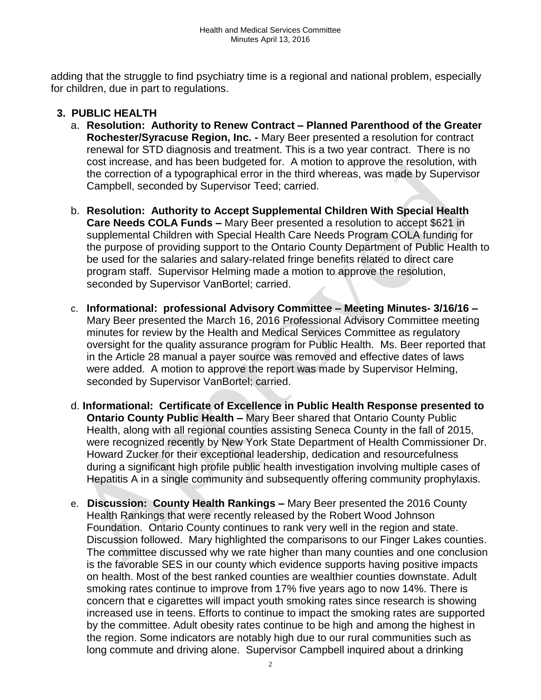adding that the struggle to find psychiatry time is a regional and national problem, especially for children, due in part to regulations.

# **3. PUBLIC HEALTH**

- a. **Resolution: Authority to Renew Contract – Planned Parenthood of the Greater Rochester/Syracuse Region, Inc. -** Mary Beer presented a resolution for contract renewal for STD diagnosis and treatment. This is a two year contract. There is no cost increase, and has been budgeted for. A motion to approve the resolution, with the correction of a typographical error in the third whereas, was made by Supervisor Campbell, seconded by Supervisor Teed; carried.
- b. **Resolution: Authority to Accept Supplemental Children With Special Health Care Needs COLA Funds –** Mary Beer presented a resolution to accept \$621 in supplemental Children with Special Health Care Needs Program COLA funding for the purpose of providing support to the Ontario County Department of Public Health to be used for the salaries and salary-related fringe benefits related to direct care program staff. Supervisor Helming made a motion to approve the resolution, seconded by Supervisor VanBortel; carried.
- c. **Informational: professional Advisory Committee – Meeting Minutes- 3/16/16 –** Mary Beer presented the March 16, 2016 Professional Advisory Committee meeting minutes for review by the Health and Medical Services Committee as regulatory oversight for the quality assurance program for Public Health. Ms. Beer reported that in the Article 28 manual a payer source was removed and effective dates of laws were added. A motion to approve the report was made by Supervisor Helming, seconded by Supervisor VanBortel; carried.
- d. **Informational: Certificate of Excellence in Public Health Response presented to Ontario County Public Health –** Mary Beer shared that Ontario County Public Health, along with all regional counties assisting Seneca County in the fall of 2015, were recognized recently by New York State Department of Health Commissioner Dr. Howard Zucker for their exceptional leadership, dedication and resourcefulness during a significant high profile public health investigation involving multiple cases of Hepatitis A in a single community and subsequently offering community prophylaxis.
- e. **Discussion: County Health Rankings –** Mary Beer presented the 2016 County Health Rankings that were recently released by the Robert Wood Johnson Foundation. Ontario County continues to rank very well in the region and state. Discussion followed. Mary highlighted the comparisons to our Finger Lakes counties. The committee discussed why we rate higher than many counties and one conclusion is the favorable SES in our county which evidence supports having positive impacts on health. Most of the best ranked counties are wealthier counties downstate. Adult smoking rates continue to improve from 17% five years ago to now 14%. There is concern that e cigarettes will impact youth smoking rates since research is showing increased use in teens. Efforts to continue to impact the smoking rates are supported by the committee. Adult obesity rates continue to be high and among the highest in the region. Some indicators are notably high due to our rural communities such as long commute and driving alone. Supervisor Campbell inquired about a drinking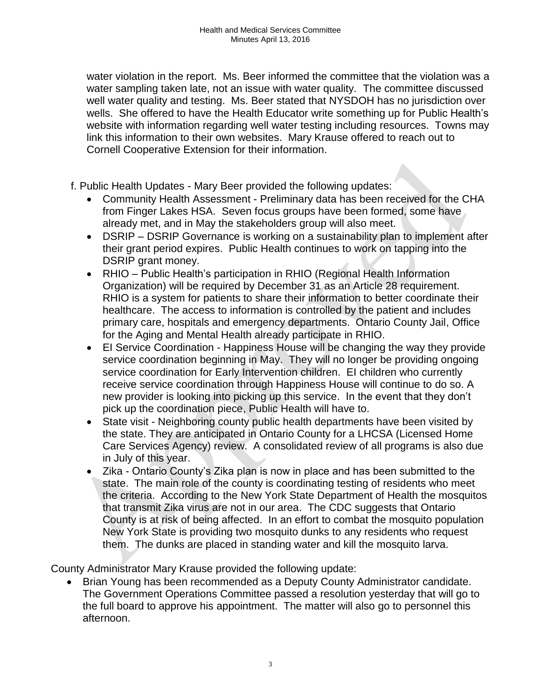water violation in the report. Ms. Beer informed the committee that the violation was a water sampling taken late, not an issue with water quality. The committee discussed well water quality and testing. Ms. Beer stated that NYSDOH has no jurisdiction over wells. She offered to have the Health Educator write something up for Public Health's website with information regarding well water testing including resources. Towns may link this information to their own websites. Mary Krause offered to reach out to Cornell Cooperative Extension for their information.

- f. Public Health Updates Mary Beer provided the following updates:
	- Community Health Assessment Preliminary data has been received for the CHA from Finger Lakes HSA. Seven focus groups have been formed, some have already met, and in May the stakeholders group will also meet.
	- DSRIP DSRIP Governance is working on a sustainability plan to implement after their grant period expires. Public Health continues to work on tapping into the DSRIP grant money.
	- RHIO Public Health's participation in RHIO (Regional Health Information Organization) will be required by December 31 as an Article 28 requirement. RHIO is a system for patients to share their information to better coordinate their healthcare. The access to information is controlled by the patient and includes primary care, hospitals and emergency departments. Ontario County Jail, Office for the Aging and Mental Health already participate in RHIO.
	- EI Service Coordination Happiness House will be changing the way they provide service coordination beginning in May. They will no longer be providing ongoing service coordination for Early Intervention children. EI children who currently receive service coordination through Happiness House will continue to do so. A new provider is looking into picking up this service. In the event that they don't pick up the coordination piece, Public Health will have to.
	- State visit Neighboring county public health departments have been visited by the state. They are anticipated in Ontario County for a LHCSA (Licensed Home Care Services Agency) review. A consolidated review of all programs is also due in July of this year.
	- Zika Ontario County's Zika plan is now in place and has been submitted to the state. The main role of the county is coordinating testing of residents who meet the criteria. According to the New York State Department of Health the mosquitos that transmit Zika virus are not in our area. The CDC suggests that Ontario County is at risk of being affected. In an effort to combat the mosquito population New York State is providing two mosquito dunks to any residents who request them. The dunks are placed in standing water and kill the mosquito larva.

County Administrator Mary Krause provided the following update:

 Brian Young has been recommended as a Deputy County Administrator candidate. The Government Operations Committee passed a resolution yesterday that will go to the full board to approve his appointment. The matter will also go to personnel this afternoon.